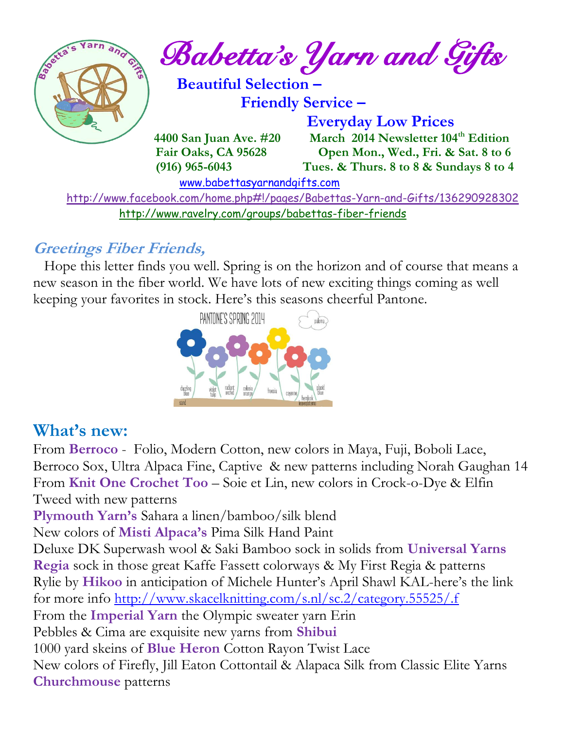

### **Greetings Fiber Friends,**

 Hope this letter finds you well. Spring is on the horizon and of course that means a new season in the fiber world. We have lots of new exciting things coming as well keeping your favorites in stock. Here's this seasons cheerful Pantone.

<http://www.ravelry.com/groups/babettas-fiber-friends>



## **What's new:**

From **Berroco** - Folio, Modern Cotton, new colors in Maya, Fuji, Boboli Lace, Berroco Sox, Ultra Alpaca Fine, Captive & new patterns including Norah Gaughan 14 From **Knit One Crochet Too** – Soie et Lin, new colors in Crock-o-Dye & Elfin Tweed with new patterns

**Plymouth Yarn's** Sahara a linen/bamboo/silk blend

New colors of **Misti Alpaca's** Pima Silk Hand Paint

Deluxe DK Superwash wool & Saki Bamboo sock in solids from **Universal Yarns Regia** sock in those great Kaffe Fassett colorways & My First Regia & patterns Rylie by **Hikoo** in anticipation of Michele Hunter's April Shawl KAL-here's the link for more info<http://www.skacelknitting.com/s.nl/sc.2/category.55525/.f> From the **Imperial Yarn** the Olympic sweater yarn Erin Pebbles & Cima are exquisite new yarns from **Shibui** 1000 yard skeins of **Blue Heron** Cotton Rayon Twist Lace New colors of Firefly, Jill Eaton Cottontail & Alapaca Silk from Classic Elite Yarns **Churchmouse** patterns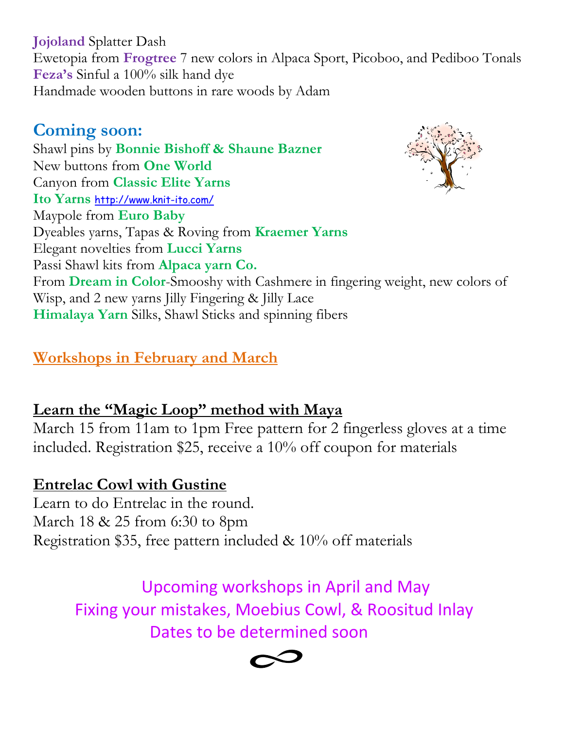**Jojoland** Splatter Dash Ewetopia from **Frogtree** 7 new colors in Alpaca Sport, Picoboo, and Pediboo Tonals **Feza's** Sinful a 100% silk hand dye Handmade wooden buttons in rare woods by Adam

## **Coming soon:**

Shawl pins by **Bonnie Bishoff & Shaune Bazner** New buttons from **One World** Canyon from **Classic Elite Yarns Ito Yarns** <http://www.knit-ito.com/> Maypole from **Euro Baby** Dyeables yarns, Tapas & Roving from **Kraemer Yarns** Elegant novelties from **Lucci Yarns** Passi Shawl kits from **Alpaca yarn Co.** From **Dream in Color**-Smooshy with Cashmere in fingering weight, new colors of Wisp, and 2 new yarns Jilly Fingering & Jilly Lace **Himalaya Yarn** Silks, Shawl Sticks and spinning fibers

## **Workshops in February and March**

## **Learn the "Magic Loop" method with Maya**

March 15 from 11am to 1pm Free pattern for 2 fingerless gloves at a time included. Registration \$25, receive a 10% off coupon for materials

## **Entrelac Cowl with Gustine**

Learn to do Entrelac in the round. March 18 & 25 from 6:30 to 8pm Registration \$35, free pattern included & 10% off materials

> Upcoming workshops in April and May Fixing your mistakes, Moebius Cowl, & Roositud Inlay Dates to be determined soon

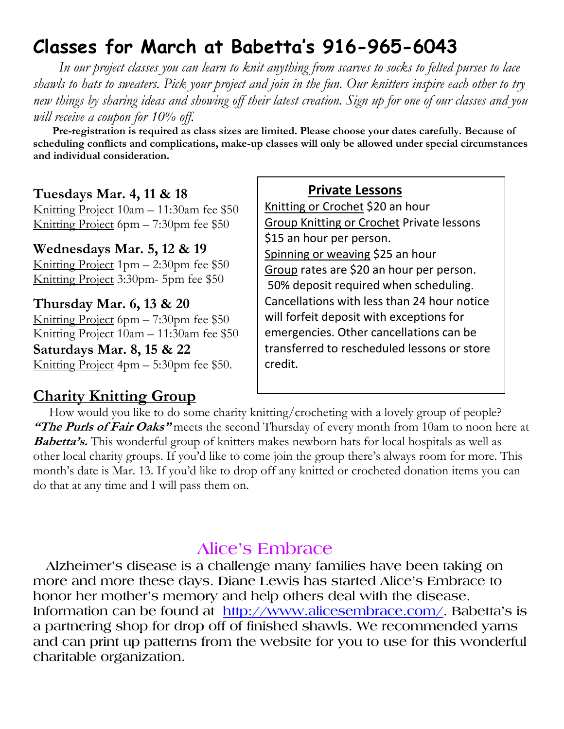## **Classes for March at Babetta's 916-965-6043**

 *In our project classes you can learn to knit anything from scarves to socks to felted purses to lace shawls to hats to sweaters. Pick your project and join in the fun. Our knitters inspire each other to try new things by sharing ideas and showing off their latest creation. Sign up for one of our classes and you will receive a coupon for 10% off.*

 **Pre-registration is required as class sizes are limited. Please choose your dates carefully. Because of scheduling conflicts and complications, make-up classes will only be allowed under special circumstances and individual consideration.**

#### **Tuesdays Mar. 4, 11 & 18**

Knitting Project 10am – 11:30am fee \$50 Knitting Project 6pm – 7:30pm fee \$50

#### **Wednesdays Mar. 5, 12 & 19**

Knitting Project 1pm – 2:30pm fee \$50 Knitting Project 3:30pm- 5pm fee \$50

#### **Thursday Mar. 6, 13 & 20**

Knitting Project 6pm – 7:30pm fee \$50 Knitting Project 10am – 11:30am fee \$50 **Saturdays Mar. 8, 15 & 22** Knitting Project 4pm – 5:30pm fee \$50.

#### **Charity Knitting Group**

#### **Private Lessons**

Knitting or Crochet \$20 an hour Group Knitting or Crochet Private lessons \$15 an hour per person. Spinning or weaving \$25 an hour Group rates are \$20 an hour per person. 50% deposit required when scheduling. Cancellations with less than 24 hour notice will forfeit deposit with exceptions for emergencies. Other cancellations can be transferred to rescheduled lessons or store credit.

 How would you like to do some charity knitting/crocheting with a lovely group of people? **"The Purls of Fair Oaks"** meets the second Thursday of every month from 10am to noon here at **Babetta's.** This wonderful group of knitters makes newborn hats for local hospitals as well as other local charity groups. If you'd like to come join the group there's always room for more. This month's date is Mar. 13. If you'd like to drop off any knitted or crocheted donation items you can do that at any time and I will pass them on.

### **Alice's Embrace**

 **Alzheimer's disease is a challenge many families have been taking on more and more these days. Diane Lewis has started Alice's Embrace to honor her mother's memory and help others deal with the disease. Information can be found at [http://www.alicesembrace.com/.](http://www.alicesembrace.com/) Babetta's is a partnering shop for drop off of finished shawls. We recommended yarns and can print up patterns from the website for you to use for this wonderful charitable organization.**